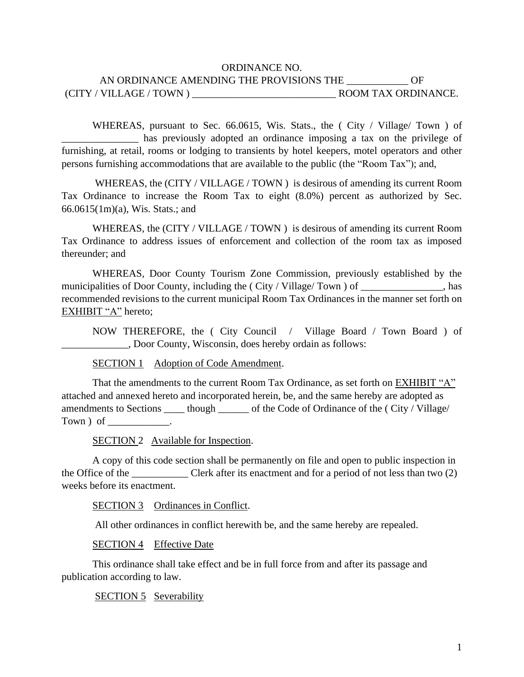## ORDINANCE NO. AN ORDINANCE AMENDING THE PROVISIONS THE \_\_\_\_\_\_\_\_\_\_ OF (CITY / VILLAGE / TOWN ) \_\_\_\_\_\_\_\_\_\_\_\_\_\_\_\_\_\_\_\_\_\_\_\_\_\_\_\_ ROOM TAX ORDINANCE.

WHEREAS, pursuant to Sec. 66.0615, Wis. Stats., the (City / Village/ Town) of has previously adopted an ordinance imposing a tax on the privilege of furnishing, at retail, rooms or lodging to transients by hotel keepers, motel operators and other persons furnishing accommodations that are available to the public (the "Room Tax"); and,

WHEREAS, the (CITY / VILLAGE / TOWN) is desirous of amending its current Room Tax Ordinance to increase the Room Tax to eight (8.0%) percent as authorized by Sec. 66.0615(1m)(a), Wis. Stats.; and

WHEREAS, the (CITY / VILLAGE / TOWN) is desirous of amending its current Room Tax Ordinance to address issues of enforcement and collection of the room tax as imposed thereunder; and

WHEREAS, Door County Tourism Zone Commission, previously established by the municipalities of Door County, including the (City / Village/ Town) of \_\_\_\_\_\_\_\_\_\_\_\_, has recommended revisions to the current municipal Room Tax Ordinances in the manner set forth on EXHIBIT "A" hereto;

NOW THEREFORE, the ( City Council / Village Board / Town Board ) of \_\_\_\_\_\_\_\_\_\_\_\_\_, Door County, Wisconsin, does hereby ordain as follows:

SECTION 1 Adoption of Code Amendment.

That the amendments to the current Room Tax Ordinance, as set forth on EXHIBIT "A" attached and annexed hereto and incorporated herein, be, and the same hereby are adopted as amendments to Sections \_\_\_\_ though \_\_\_\_\_\_ of the Code of Ordinance of the ( City / Village/ Town ) of

SECTION 2 Available for Inspection.

A copy of this code section shall be permanently on file and open to public inspection in the Office of the \_\_\_\_\_\_\_\_\_\_\_ Clerk after its enactment and for a period of not less than two (2) weeks before its enactment.

SECTION 3 Ordinances in Conflict.

All other ordinances in conflict herewith be, and the same hereby are repealed.

SECTION 4 Effective Date

This ordinance shall take effect and be in full force from and after its passage and publication according to law.

SECTION 5 Severability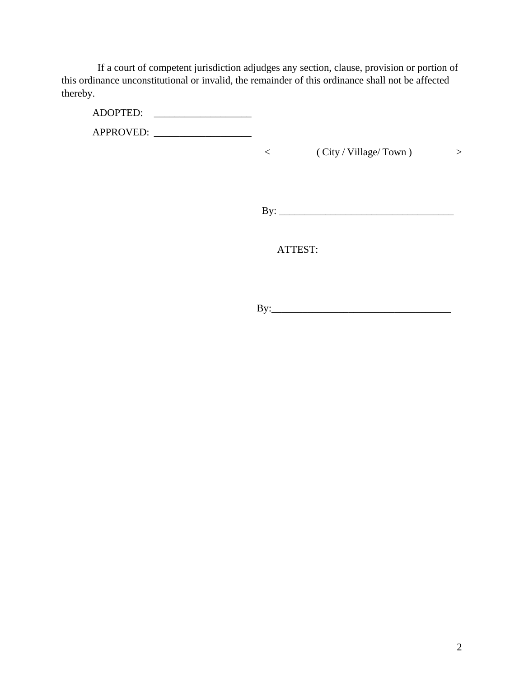If a court of competent jurisdiction adjudges any section, clause, provision or portion of this ordinance unconstitutional or invalid, the remainder of this ordinance shall not be affected thereby.

ADOPTED: APPROVED: \_\_\_\_\_\_\_\_\_\_\_\_\_\_\_\_\_\_\_

< ( City / Village/ Town ) >

By: \_\_\_\_\_\_\_\_\_\_\_\_\_\_\_\_\_\_\_\_\_\_\_\_\_\_\_\_\_\_\_\_\_\_

ATTEST:

By:\_\_\_\_\_\_\_\_\_\_\_\_\_\_\_\_\_\_\_\_\_\_\_\_\_\_\_\_\_\_\_\_\_\_\_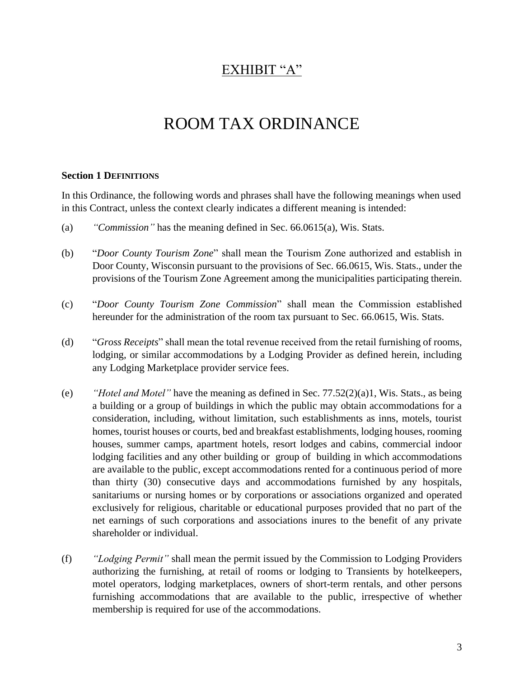# EXHIBIT "A"

# ROOM TAX ORDINANCE

#### **Section 1 DEFINITIONS**

In this Ordinance, the following words and phrases shall have the following meanings when used in this Contract, unless the context clearly indicates a different meaning is intended:

- (a) *"Commission"* has the meaning defined in Sec. 66.0615(a), Wis. Stats.
- (b) "*Door County Tourism Zone*" shall mean the Tourism Zone authorized and establish in Door County, Wisconsin pursuant to the provisions of Sec. 66.0615, Wis. Stats., under the provisions of the Tourism Zone Agreement among the municipalities participating therein.
- (c) "*Door County Tourism Zone Commission*" shall mean the Commission established hereunder for the administration of the room tax pursuant to Sec. 66.0615, Wis. Stats.
- (d) "*Gross Receipts*" shall mean the total revenue received from the retail furnishing of rooms, lodging, or similar accommodations by a Lodging Provider as defined herein, including any Lodging Marketplace provider service fees.
- (e) *"Hotel and Motel"* have the meaning as defined in Sec. 77.52(2)(a)1, Wis. Stats., as being a building or a group of buildings in which the public may obtain accommodations for a consideration, including, without limitation, such establishments as inns, motels, tourist homes, tourist houses or courts, bed and breakfast establishments, lodging houses, rooming houses, summer camps, apartment hotels, resort lodges and cabins, commercial indoor lodging facilities and any other building or group of building in which accommodations are available to the public, except accommodations rented for a continuous period of more than thirty (30) consecutive days and accommodations furnished by any hospitals, sanitariums or nursing homes or by corporations or associations organized and operated exclusively for religious, charitable or educational purposes provided that no part of the net earnings of such corporations and associations inures to the benefit of any private shareholder or individual.
- (f) *"Lodging Permit"* shall mean the permit issued by the Commission to Lodging Providers authorizing the furnishing, at retail of rooms or lodging to Transients by hotelkeepers, motel operators, lodging marketplaces, owners of short-term rentals, and other persons furnishing accommodations that are available to the public, irrespective of whether membership is required for use of the accommodations.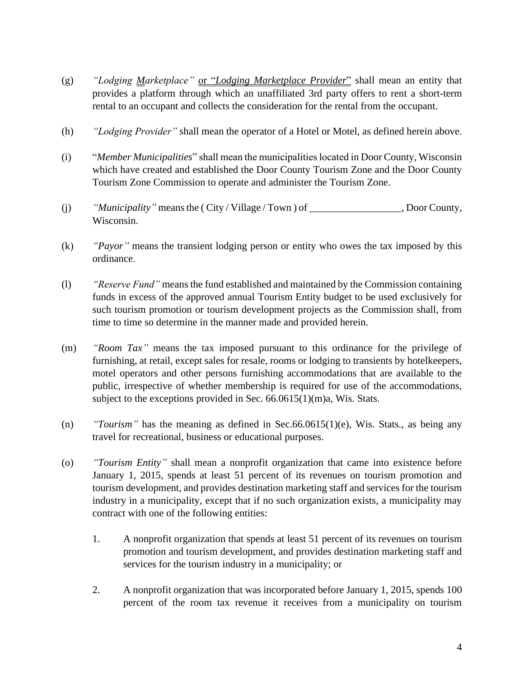- (g) *"Lodging Marketplace"* or "*Lodging Marketplace Provider*" shall mean an entity that provides a platform through which an unaffiliated 3rd party offers to rent a short-term rental to an occupant and collects the consideration for the rental from the occupant.
- (h) *"Lodging Provider"* shall mean the operator of a Hotel or Motel, as defined herein above.
- (i) "*Member Municipalities*" shall mean the municipalities located in Door County, Wisconsin which have created and established the Door County Tourism Zone and the Door County Tourism Zone Commission to operate and administer the Tourism Zone.
- (j) *"Municipality"* means the ( City / Village / Town ) of \_\_\_\_\_\_\_\_\_\_\_\_\_\_\_\_\_\_, Door County, Wisconsin.
- (k) *"Payor"* means the transient lodging person or entity who owes the tax imposed by this ordinance.
- (l) *"Reserve Fund"* means the fund established and maintained by the Commission containing funds in excess of the approved annual Tourism Entity budget to be used exclusively for such tourism promotion or tourism development projects as the Commission shall, from time to time so determine in the manner made and provided herein.
- (m) *"Room Tax"* means the tax imposed pursuant to this ordinance for the privilege of furnishing, at retail, except sales for resale, rooms or lodging to transients by hotelkeepers, motel operators and other persons furnishing accommodations that are available to the public, irrespective of whether membership is required for use of the accommodations, subject to the exceptions provided in Sec. 66.0615(1)(m)a, Wis. Stats.
- (n) *"Tourism"* has the meaning as defined in Sec.66.0615(1)(e), Wis. Stats., as being any travel for recreational, business or educational purposes.
- (o) *"Tourism Entity"* shall mean a nonprofit organization that came into existence before January 1, 2015, spends at least 51 percent of its revenues on tourism promotion and tourism development, and provides destination marketing staff and services for the tourism industry in a municipality, except that if no such organization exists, a municipality may contract with one of the following entities:
	- 1. A nonprofit organization that spends at least 51 percent of its revenues on tourism promotion and tourism development, and provides destination marketing staff and services for the tourism industry in a municipality; or
	- 2. A nonprofit organization that was incorporated before January 1, 2015, spends 100 percent of the room tax revenue it receives from a municipality on tourism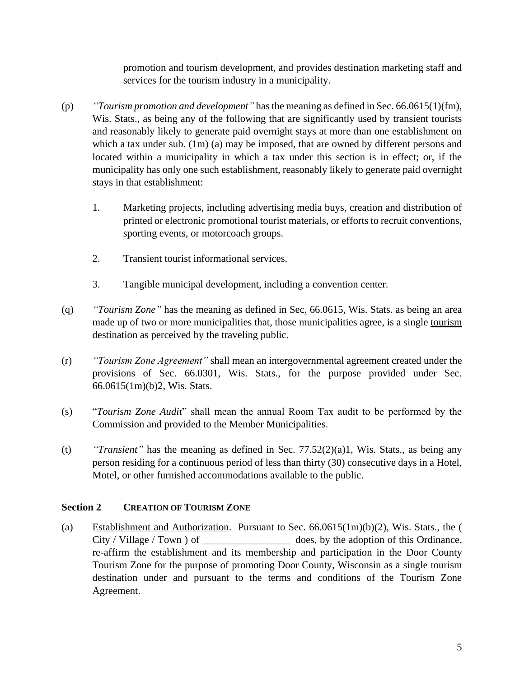promotion and tourism development, and provides destination marketing staff and services for the tourism industry in a municipality.

- (p) *"Tourism promotion and development"* has the meaning as defined in Sec. 66.0615(1)(fm), Wis. Stats., as being any of the following that are significantly used by transient tourists and reasonably likely to generate paid overnight stays at more than one establishment on which a tax under sub. (1m) (a) may be imposed, that are owned by different persons and located within a municipality in which a tax under this section is in effect; or, if the municipality has only one such establishment, reasonably likely to generate paid overnight stays in that establishment:
	- 1. Marketing projects, including advertising media buys, creation and distribution of printed or electronic promotional tourist materials, or efforts to recruit conventions, sporting events, or motorcoach groups.
	- 2. Transient tourist informational services.
	- 3. Tangible municipal development, including a convention center.
- (q) *"Tourism Zone"* has the meaning as defined in Sec. 66.0615, Wis. Stats. as being an area made up of two or more municipalities that, those municipalities agree, is a single tourism destination as perceived by the traveling public.
- (r) *"Tourism Zone Agreement"* shall mean an intergovernmental agreement created under the provisions of Sec. 66.0301, Wis. Stats., for the purpose provided under Sec. 66.0615(1m)(b)2, Wis. Stats.
- (s) "*Tourism Zone Audit*" shall mean the annual Room Tax audit to be performed by the Commission and provided to the Member Municipalities.
- (t) *"Transient"* has the meaning as defined in Sec. 77.52(2)(a)1, Wis. Stats., as being any person residing for a continuous period of less than thirty (30) consecutive days in a Hotel, Motel, or other furnished accommodations available to the public.

#### **Section 2 CREATION OF TOURISM ZONE**

(a) Establishment and Authorization. Pursuant to Sec. 66.0615(1m)(b)(2), Wis. Stats., the ( City / Village / Town ) of \_\_\_\_\_\_\_\_\_\_\_\_\_\_\_\_\_\_\_\_\_\_\_ does, by the adoption of this Ordinance, re-affirm the establishment and its membership and participation in the Door County Tourism Zone for the purpose of promoting Door County, Wisconsin as a single tourism destination under and pursuant to the terms and conditions of the Tourism Zone Agreement.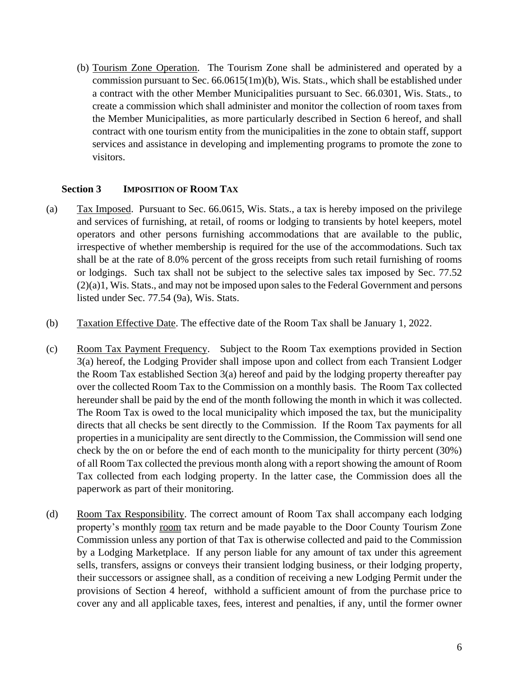(b) Tourism Zone Operation. The Tourism Zone shall be administered and operated by a commission pursuant to Sec. 66.0615(1m)(b), Wis. Stats., which shall be established under a contract with the other Member Municipalities pursuant to Sec. 66.0301, Wis. Stats., to create a commission which shall administer and monitor the collection of room taxes from the Member Municipalities, as more particularly described in Section 6 hereof, and shall contract with one tourism entity from the municipalities in the zone to obtain staff, support services and assistance in developing and implementing programs to promote the zone to visitors.

#### **Section 3 IMPOSITION OF ROOM TAX**

- (a) Tax Imposed. Pursuant to Sec. 66.0615, Wis. Stats., a tax is hereby imposed on the privilege and services of furnishing, at retail, of rooms or lodging to transients by hotel keepers, motel operators and other persons furnishing accommodations that are available to the public, irrespective of whether membership is required for the use of the accommodations. Such tax shall be at the rate of 8.0% percent of the gross receipts from such retail furnishing of rooms or lodgings. Such tax shall not be subject to the selective sales tax imposed by Sec. 77.52 (2)(a)1, Wis. Stats., and may not be imposed upon sales to the Federal Government and persons listed under Sec. 77.54 (9a), Wis. Stats.
- (b) Taxation Effective Date. The effective date of the Room Tax shall be January 1, 2022.
- (c) Room Tax Payment Frequency. Subject to the Room Tax exemptions provided in Section 3(a) hereof, the Lodging Provider shall impose upon and collect from each Transient Lodger the Room Tax established Section 3(a) hereof and paid by the lodging property thereafter pay over the collected Room Tax to the Commission on a monthly basis. The Room Tax collected hereunder shall be paid by the end of the month following the month in which it was collected. The Room Tax is owed to the local municipality which imposed the tax, but the municipality directs that all checks be sent directly to the Commission. If the Room Tax payments for all properties in a municipality are sent directly to the Commission, the Commission will send one check by the on or before the end of each month to the municipality for thirty percent (30%) of all Room Tax collected the previous month along with a report showing the amount of Room Tax collected from each lodging property. In the latter case, the Commission does all the paperwork as part of their monitoring.
- (d) Room Tax Responsibility. The correct amount of Room Tax shall accompany each lodging property's monthly room tax return and be made payable to the Door County Tourism Zone Commission unless any portion of that Tax is otherwise collected and paid to the Commission by a Lodging Marketplace. If any person liable for any amount of tax under this agreement sells, transfers, assigns or conveys their transient lodging business, or their lodging property, their successors or assignee shall, as a condition of receiving a new Lodging Permit under the provisions of Section 4 hereof, withhold a sufficient amount of from the purchase price to cover any and all applicable taxes, fees, interest and penalties, if any, until the former owner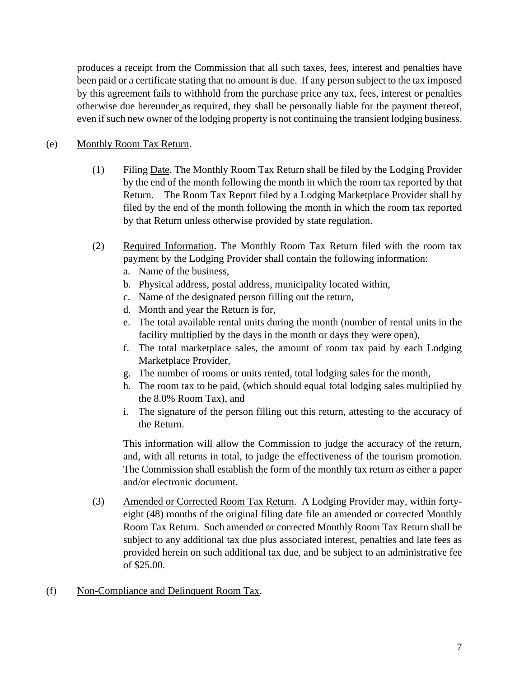produces a receipt from the Commission that all such taxes, fees, interest and penalties have been paid or a certificate stating that no amount is due. If any person subject to the tax imposed by this agreement fails to withhold from the purchase price any tax, fees, interest or penalties otherwise due hereunder as required, they shall be personally liable for the payment thereof, even if such new owner of the lodging property is not continuing the transient lodging business.

# (e) Monthly Room Tax Return.

- (1) Filing Date. The Monthly Room Tax Return shall be filed by the Lodging Provider by the end of the month following the month in which the room tax reported by that Return. The Room Tax Report filed by a Lodging Marketplace Provider shall by filed by the end of the month following the month in which the room tax reported by that Return unless otherwise provided by state regulation.
- (2) Required Information. The Monthly Room Tax Return filed with the room tax payment by the Lodging Provider shall contain the following information:
	- a. Name of the business,
	- b. Physical address, postal address, municipality located within,
	- c. Name of the designated person filling out the return,
	- d. Month and year the Return is for,
	- e. The total available rental units during the month (number of rental units in the facility multiplied by the days in the month or days they were open),
	- f. The total marketplace sales, the amount of room tax paid by each Lodging Marketplace Provider,
	- g. The number of rooms or units rented, total lodging sales for the month,
	- h. The room tax to be paid, (which should equal total lodging sales multiplied by the 8.0% Room Tax), and
	- i. The signature of the person filling out this return, attesting to the accuracy of the Return.

This information will allow the Commission to judge the accuracy of the return, and, with all returns in total, to judge the effectiveness of the tourism promotion. The Commission shall establish the form of the monthly tax return as either a paper and/or electronic document.

- (3) Amended or Corrected Room Tax Return. A Lodging Provider may, within fortyeight (48) months of the original filing date file an amended or corrected Monthly Room Tax Return. Such amended or corrected Monthly Room Tax Return shall be subject to any additional tax due plus associated interest, penalties and late fees as provided herein on such additional tax due, and be subject to an administrative fee of \$25.00.
- (f) Non-Compliance and Delinquent Room Tax.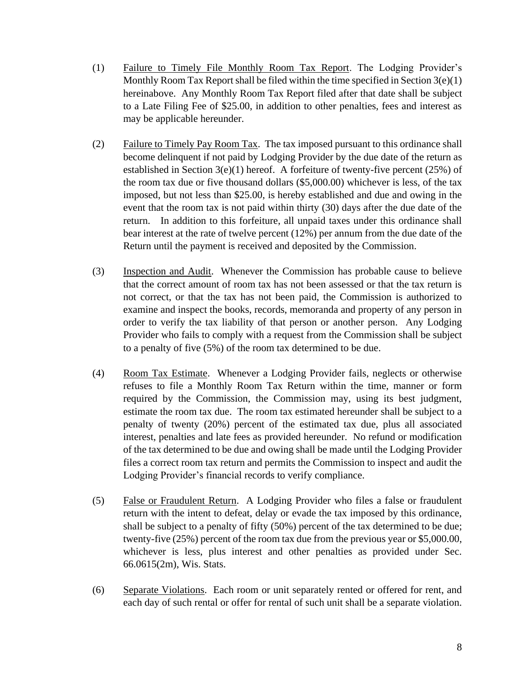- (1) Failure to Timely File Monthly Room Tax Report. The Lodging Provider's Monthly Room Tax Report shall be filed within the time specified in Section  $3(e)(1)$ hereinabove. Any Monthly Room Tax Report filed after that date shall be subject to a Late Filing Fee of \$25.00, in addition to other penalties, fees and interest as may be applicable hereunder.
- (2) Failure to Timely Pay Room Tax. The tax imposed pursuant to this ordinance shall become delinquent if not paid by Lodging Provider by the due date of the return as established in Section  $3(e)(1)$  hereof. A forfeiture of twenty-five percent (25%) of the room tax due or five thousand dollars (\$5,000.00) whichever is less, of the tax imposed, but not less than \$25.00, is hereby established and due and owing in the event that the room tax is not paid within thirty (30) days after the due date of the return. In addition to this forfeiture, all unpaid taxes under this ordinance shall bear interest at the rate of twelve percent (12%) per annum from the due date of the Return until the payment is received and deposited by the Commission.
- (3) Inspection and Audit. Whenever the Commission has probable cause to believe that the correct amount of room tax has not been assessed or that the tax return is not correct, or that the tax has not been paid, the Commission is authorized to examine and inspect the books, records, memoranda and property of any person in order to verify the tax liability of that person or another person. Any Lodging Provider who fails to comply with a request from the Commission shall be subject to a penalty of five (5%) of the room tax determined to be due.
- (4) Room Tax Estimate. Whenever a Lodging Provider fails, neglects or otherwise refuses to file a Monthly Room Tax Return within the time, manner or form required by the Commission, the Commission may, using its best judgment, estimate the room tax due. The room tax estimated hereunder shall be subject to a penalty of twenty (20%) percent of the estimated tax due, plus all associated interest, penalties and late fees as provided hereunder. No refund or modification of the tax determined to be due and owing shall be made until the Lodging Provider files a correct room tax return and permits the Commission to inspect and audit the Lodging Provider's financial records to verify compliance.
- (5) False or Fraudulent Return. A Lodging Provider who files a false or fraudulent return with the intent to defeat, delay or evade the tax imposed by this ordinance, shall be subject to a penalty of fifty (50%) percent of the tax determined to be due; twenty-five (25%) percent of the room tax due from the previous year or \$5,000.00, whichever is less, plus interest and other penalties as provided under Sec. 66.0615(2m), Wis. Stats.
- (6) Separate Violations. Each room or unit separately rented or offered for rent, and each day of such rental or offer for rental of such unit shall be a separate violation.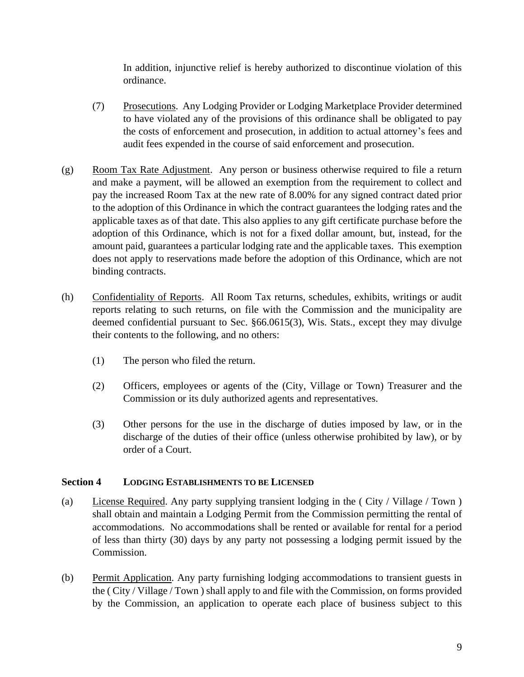In addition, injunctive relief is hereby authorized to discontinue violation of this ordinance.

- (7) Prosecutions. Any Lodging Provider or Lodging Marketplace Provider determined to have violated any of the provisions of this ordinance shall be obligated to pay the costs of enforcement and prosecution, in addition to actual attorney's fees and audit fees expended in the course of said enforcement and prosecution.
- (g) Room Tax Rate Adjustment. Any person or business otherwise required to file a return and make a payment, will be allowed an exemption from the requirement to collect and pay the increased Room Tax at the new rate of 8.00% for any signed contract dated prior to the adoption of this Ordinance in which the contract guarantees the lodging rates and the applicable taxes as of that date. This also applies to any gift certificate purchase before the adoption of this Ordinance, which is not for a fixed dollar amount, but, instead, for the amount paid, guarantees a particular lodging rate and the applicable taxes. This exemption does not apply to reservations made before the adoption of this Ordinance, which are not binding contracts.
- (h) Confidentiality of Reports. All Room Tax returns, schedules, exhibits, writings or audit reports relating to such returns, on file with the Commission and the municipality are deemed confidential pursuant to Sec. §66.0615(3), Wis. Stats., except they may divulge their contents to the following, and no others:
	- (1) The person who filed the return.
	- (2) Officers, employees or agents of the (City, Village or Town) Treasurer and the Commission or its duly authorized agents and representatives.
	- (3) Other persons for the use in the discharge of duties imposed by law, or in the discharge of the duties of their office (unless otherwise prohibited by law), or by order of a Court.

#### **Section 4 LODGING ESTABLISHMENTS TO BE LICENSED**

- (a) License Required. Any party supplying transient lodging in the ( City / Village / Town ) shall obtain and maintain a Lodging Permit from the Commission permitting the rental of accommodations. No accommodations shall be rented or available for rental for a period of less than thirty (30) days by any party not possessing a lodging permit issued by the Commission.
- (b) Permit Application. Any party furnishing lodging accommodations to transient guests in the ( City / Village / Town ) shall apply to and file with the Commission, on forms provided by the Commission, an application to operate each place of business subject to this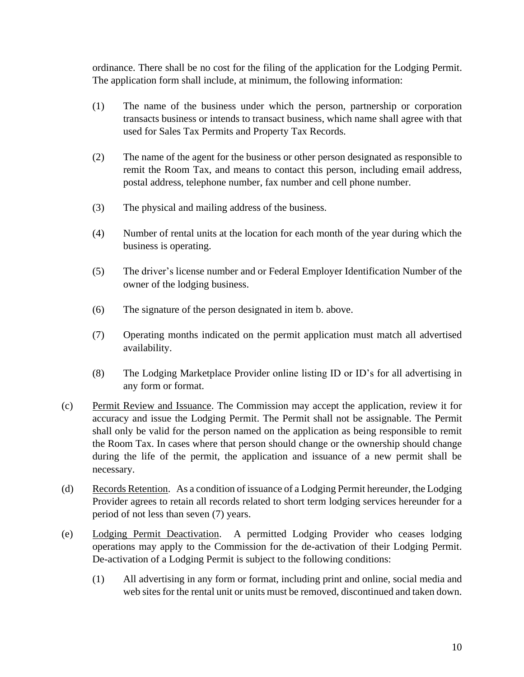ordinance. There shall be no cost for the filing of the application for the Lodging Permit. The application form shall include, at minimum, the following information:

- (1) The name of the business under which the person, partnership or corporation transacts business or intends to transact business, which name shall agree with that used for Sales Tax Permits and Property Tax Records.
- (2) The name of the agent for the business or other person designated as responsible to remit the Room Tax, and means to contact this person, including email address, postal address, telephone number, fax number and cell phone number.
- (3) The physical and mailing address of the business.
- (4) Number of rental units at the location for each month of the year during which the business is operating.
- (5) The driver's license number and or Federal Employer Identification Number of the owner of the lodging business.
- (6) The signature of the person designated in item b. above.
- (7) Operating months indicated on the permit application must match all advertised availability.
- (8) The Lodging Marketplace Provider online listing ID or ID's for all advertising in any form or format.
- (c) Permit Review and Issuance. The Commission may accept the application, review it for accuracy and issue the Lodging Permit. The Permit shall not be assignable. The Permit shall only be valid for the person named on the application as being responsible to remit the Room Tax. In cases where that person should change or the ownership should change during the life of the permit, the application and issuance of a new permit shall be necessary.
- (d) Records Retention. As a condition of issuance of a Lodging Permit hereunder, the Lodging Provider agrees to retain all records related to short term lodging services hereunder for a period of not less than seven (7) years.
- (e) Lodging Permit Deactivation. A permitted Lodging Provider who ceases lodging operations may apply to the Commission for the de-activation of their Lodging Permit. De-activation of a Lodging Permit is subject to the following conditions:
	- (1) All advertising in any form or format, including print and online, social media and web sites for the rental unit or units must be removed, discontinued and taken down.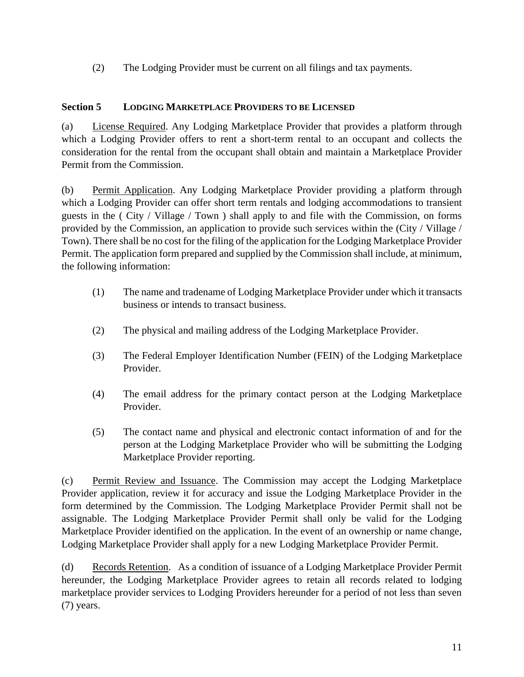(2) The Lodging Provider must be current on all filings and tax payments.

# **Section 5 LODGING MARKETPLACE PROVIDERS TO BE LICENSED**

(a) License Required. Any Lodging Marketplace Provider that provides a platform through which a Lodging Provider offers to rent a short-term rental to an occupant and collects the consideration for the rental from the occupant shall obtain and maintain a Marketplace Provider Permit from the Commission.

(b) Permit Application. Any Lodging Marketplace Provider providing a platform through which a Lodging Provider can offer short term rentals and lodging accommodations to transient guests in the ( City / Village / Town ) shall apply to and file with the Commission, on forms provided by the Commission, an application to provide such services within the (City / Village / Town). There shall be no cost for the filing of the application for the Lodging Marketplace Provider Permit. The application form prepared and supplied by the Commission shall include, at minimum, the following information:

- (1) The name and tradename of Lodging Marketplace Provider under which it transacts business or intends to transact business.
- (2) The physical and mailing address of the Lodging Marketplace Provider.
- (3) The Federal Employer Identification Number (FEIN) of the Lodging Marketplace Provider.
- (4) The email address for the primary contact person at the Lodging Marketplace Provider.
- (5) The contact name and physical and electronic contact information of and for the person at the Lodging Marketplace Provider who will be submitting the Lodging Marketplace Provider reporting.

(c) Permit Review and Issuance. The Commission may accept the Lodging Marketplace Provider application, review it for accuracy and issue the Lodging Marketplace Provider in the form determined by the Commission. The Lodging Marketplace Provider Permit shall not be assignable. The Lodging Marketplace Provider Permit shall only be valid for the Lodging Marketplace Provider identified on the application. In the event of an ownership or name change, Lodging Marketplace Provider shall apply for a new Lodging Marketplace Provider Permit.

(d) Records Retention. As a condition of issuance of a Lodging Marketplace Provider Permit hereunder, the Lodging Marketplace Provider agrees to retain all records related to lodging marketplace provider services to Lodging Providers hereunder for a period of not less than seven (7) years.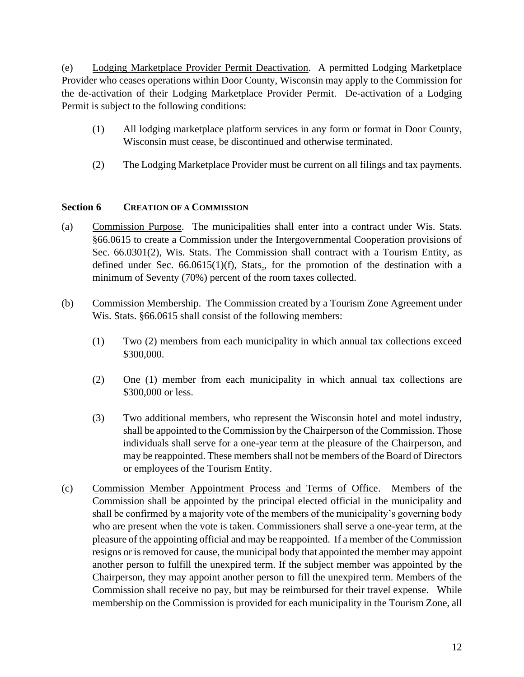(e) Lodging Marketplace Provider Permit Deactivation. A permitted Lodging Marketplace Provider who ceases operations within Door County, Wisconsin may apply to the Commission for the de-activation of their Lodging Marketplace Provider Permit. De-activation of a Lodging Permit is subject to the following conditions:

- (1) All lodging marketplace platform services in any form or format in Door County, Wisconsin must cease, be discontinued and otherwise terminated.
- (2) The Lodging Marketplace Provider must be current on all filings and tax payments.

## **Section 6 CREATION OF A COMMISSION**

- (a) Commission Purpose. The municipalities shall enter into a contract under Wis. Stats. §66.0615 to create a Commission under the Intergovernmental Cooperation provisions of Sec. 66.0301(2), Wis. Stats. The Commission shall contract with a Tourism Entity, as defined under Sec.  $66.0615(1)(f)$ , Stats., for the promotion of the destination with a minimum of Seventy (70%) percent of the room taxes collected.
- (b) Commission Membership. The Commission created by a Tourism Zone Agreement under Wis. Stats. §66.0615 shall consist of the following members:
	- (1) Two (2) members from each municipality in which annual tax collections exceed \$300,000.
	- (2) One (1) member from each municipality in which annual tax collections are \$300,000 or less.
	- (3) Two additional members, who represent the Wisconsin hotel and motel industry, shall be appointed to the Commission by the Chairperson of the Commission. Those individuals shall serve for a one-year term at the pleasure of the Chairperson, and may be reappointed. These members shall not be members of the Board of Directors or employees of the Tourism Entity.
- (c) Commission Member Appointment Process and Terms of Office. Members of the Commission shall be appointed by the principal elected official in the municipality and shall be confirmed by a majority vote of the members of the municipality's governing body who are present when the vote is taken. Commissioners shall serve a one-year term, at the pleasure of the appointing official and may be reappointed. If a member of the Commission resigns or is removed for cause, the municipal body that appointed the member may appoint another person to fulfill the unexpired term. If the subject member was appointed by the Chairperson, they may appoint another person to fill the unexpired term. Members of the Commission shall receive no pay, but may be reimbursed for their travel expense. While membership on the Commission is provided for each municipality in the Tourism Zone, all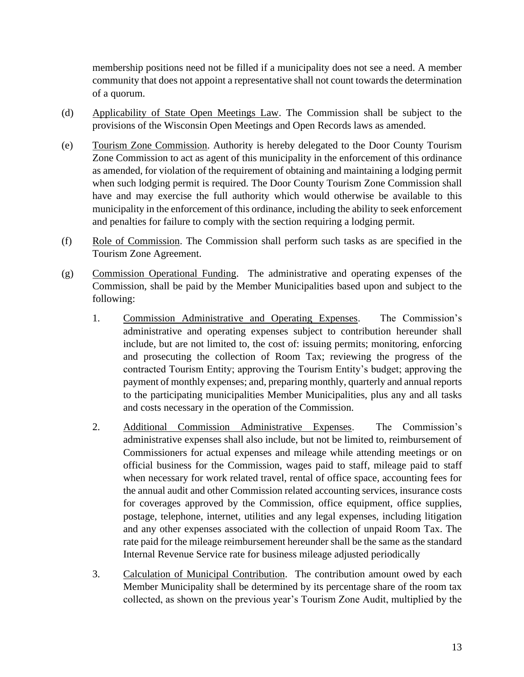membership positions need not be filled if a municipality does not see a need. A member community that does not appoint a representative shall not count towards the determination of a quorum.

- (d) Applicability of State Open Meetings Law. The Commission shall be subject to the provisions of the Wisconsin Open Meetings and Open Records laws as amended.
- (e) Tourism Zone Commission. Authority is hereby delegated to the Door County Tourism Zone Commission to act as agent of this municipality in the enforcement of this ordinance as amended, for violation of the requirement of obtaining and maintaining a lodging permit when such lodging permit is required. The Door County Tourism Zone Commission shall have and may exercise the full authority which would otherwise be available to this municipality in the enforcement of this ordinance, including the ability to seek enforcement and penalties for failure to comply with the section requiring a lodging permit.
- (f) Role of Commission. The Commission shall perform such tasks as are specified in the Tourism Zone Agreement.
- (g) Commission Operational Funding. The administrative and operating expenses of the Commission, shall be paid by the Member Municipalities based upon and subject to the following:
	- 1. Commission Administrative and Operating Expenses. The Commission's administrative and operating expenses subject to contribution hereunder shall include, but are not limited to, the cost of: issuing permits; monitoring, enforcing and prosecuting the collection of Room Tax; reviewing the progress of the contracted Tourism Entity; approving the Tourism Entity's budget; approving the payment of monthly expenses; and, preparing monthly, quarterly and annual reports to the participating municipalities Member Municipalities, plus any and all tasks and costs necessary in the operation of the Commission.
	- 2. Additional Commission Administrative Expenses. The Commission's administrative expenses shall also include, but not be limited to, reimbursement of Commissioners for actual expenses and mileage while attending meetings or on official business for the Commission, wages paid to staff, mileage paid to staff when necessary for work related travel, rental of office space, accounting fees for the annual audit and other Commission related accounting services, insurance costs for coverages approved by the Commission, office equipment, office supplies, postage, telephone, internet, utilities and any legal expenses, including litigation and any other expenses associated with the collection of unpaid Room Tax. The rate paid for the mileage reimbursement hereunder shall be the same as the standard Internal Revenue Service rate for business mileage adjusted periodically
	- 3. Calculation of Municipal Contribution. The contribution amount owed by each Member Municipality shall be determined by its percentage share of the room tax collected, as shown on the previous year's Tourism Zone Audit, multiplied by the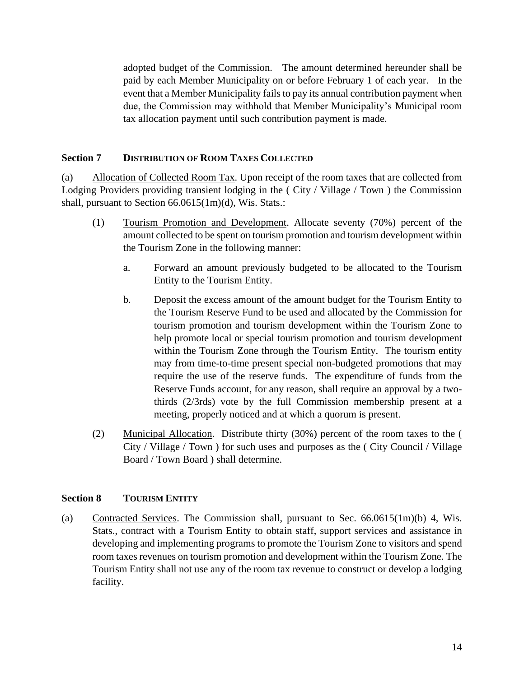adopted budget of the Commission. The amount determined hereunder shall be paid by each Member Municipality on or before February 1 of each year. In the event that a Member Municipality fails to pay its annual contribution payment when due, the Commission may withhold that Member Municipality's Municipal room tax allocation payment until such contribution payment is made.

# **Section 7 DISTRIBUTION OF ROOM TAXES COLLECTED**

(a) Allocation of Collected Room Tax. Upon receipt of the room taxes that are collected from Lodging Providers providing transient lodging in the ( City / Village / Town ) the Commission shall, pursuant to Section 66.0615(1m)(d), Wis. Stats.:

- (1) Tourism Promotion and Development. Allocate seventy (70%) percent of the amount collected to be spent on tourism promotion and tourism development within the Tourism Zone in the following manner:
	- a. Forward an amount previously budgeted to be allocated to the Tourism Entity to the Tourism Entity.
	- b. Deposit the excess amount of the amount budget for the Tourism Entity to the Tourism Reserve Fund to be used and allocated by the Commission for tourism promotion and tourism development within the Tourism Zone to help promote local or special tourism promotion and tourism development within the Tourism Zone through the Tourism Entity. The tourism entity may from time-to-time present special non-budgeted promotions that may require the use of the reserve funds. The expenditure of funds from the Reserve Funds account, for any reason, shall require an approval by a twothirds (2/3rds) vote by the full Commission membership present at a meeting, properly noticed and at which a quorum is present.
- (2) Municipal Allocation. Distribute thirty (30%) percent of the room taxes to the ( City / Village / Town ) for such uses and purposes as the ( City Council / Village Board / Town Board ) shall determine.

#### **Section 8 TOURISM ENTITY**

(a) Contracted Services. The Commission shall, pursuant to Sec. 66.0615(1m)(b) 4, Wis. Stats., contract with a Tourism Entity to obtain staff, support services and assistance in developing and implementing programs to promote the Tourism Zone to visitors and spend room taxes revenues on tourism promotion and development within the Tourism Zone. The Tourism Entity shall not use any of the room tax revenue to construct or develop a lodging facility.